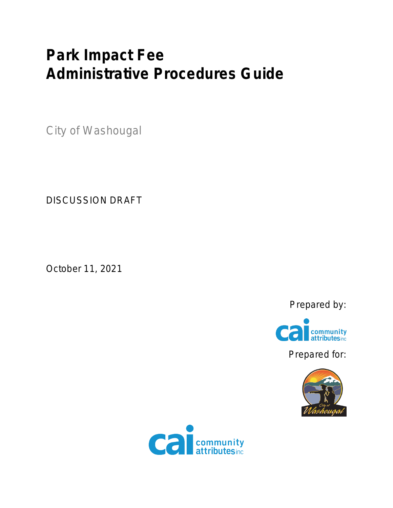# **Park Impact Fee Administrative Procedures Guide**

City of Washougal

DISCUSSION DRAFT

October 11, 2021

Prepared by:



Prepared for:



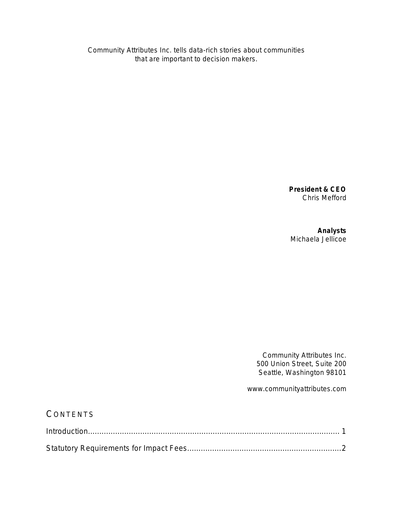*Community Attributes Inc. tells data-rich stories about communities that are important to decision makers.*

> **President & CEO** Chris Mefford

**Analysts** Michaela Jellicoe

Community Attributes Inc. 500 Union Street, Suite 200 Seattle, Washington 98101

www.communityattributes.com

## **CONTENTS**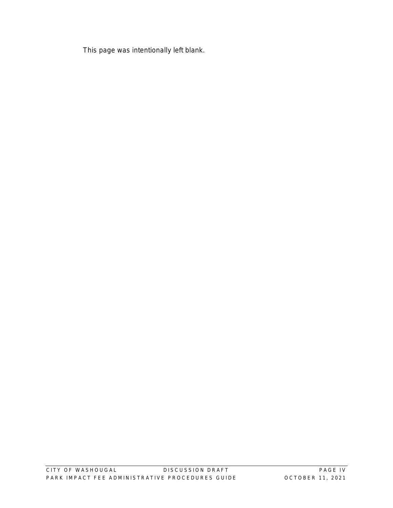*This page was intentionally left blank.*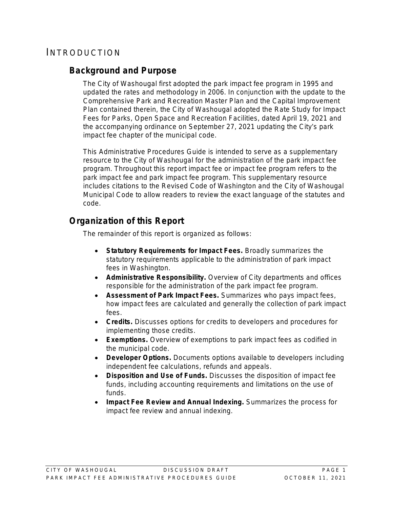# <span id="page-4-0"></span>INTRODUCTION

#### **Background and Purpose**

The City of Washougal first adopted the park impact fee program in 1995 and updated the rates and methodology in 2006. In conjunction with the update to the Comprehensive Park and Recreation Master Plan and the Capital Improvement Plan contained therein, the City of Washougal adopted the *Rate Study for Impact Fees for Parks, Open Space and Recreation Facilities,* dated April 19, 2021 and the accompanying ordinance on September 27, 2021 updating the City's park impact fee chapter of the municipal code.

This Administrative Procedures Guide is intended to serve as a supplementary resource to the City of Washougal for the administration of the park impact fee program. Throughout this report impact fee or impact fee program refers to the park impact fee and park impact fee program. This supplementary resource includes citations to the Revised Code of Washington and the City of Washougal Municipal Code to allow readers to review the exact language of the statutes and code.

## **Organization of this Report**

The remainder of this report is organized as follows:

- **Statutory Requirements for Impact Fees.** Broadly summarizes the statutory requirements applicable to the administration of park impact fees in Washington.
- **Administrative Responsibility.** Overview of City departments and offices responsible for the administration of the park impact fee program.
- **Assessment of Park Impact Fees.** Summarizes who pays impact fees, how impact fees are calculated and generally the collection of park impact fees.
- **Credits.** Discusses options for credits to developers and procedures for implementing those credits.
- **Exemptions.** Overview of exemptions to park impact fees as codified in the municipal code.
- **Developer Options.** Documents options available to developers including independent fee calculations, refunds and appeals.
- **Disposition and Use of Funds.** Discusses the disposition of impact fee funds, including accounting requirements and limitations on the use of funds.
- **Impact Fee Review and Annual Indexing.** Summarizes the process for impact fee review and annual indexing.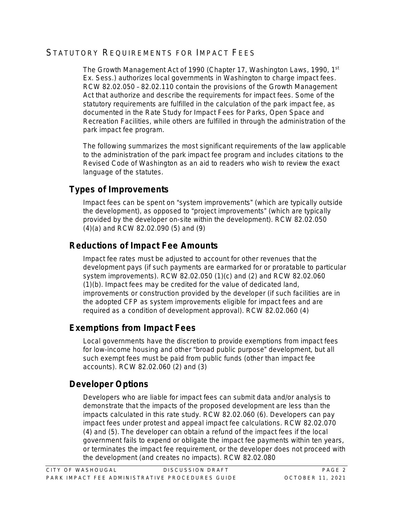## <span id="page-5-0"></span>STATUTORY REQUIREMENTS FOR IMPACT FEES

The Growth Management Act of 1990 (Chapter 17, Washington Laws, 1990, 1<sup>st</sup> Ex. Sess.) authorizes local governments in Washington to charge impact fees. RCW 82.02.050 – 82.02.110 contain the provisions of the Growth Management Act that authorize and describe the requirements for impact fees. Some of the statutory requirements are fulfilled in the calculation of the park impact fee, as documented in the *Rate Study for Impact Fees for Parks, Open Space and Recreation Facilities*, while others are fulfilled in through the administration of the park impact fee program.

The following summarizes the most significant requirements of the law applicable to the administration of the park impact fee program and includes citations to the Revised Code of Washington as an aid to readers who wish to review the exact language of the statutes.

# **Types of Improvements**

Impact fees can be spent on "system improvements" (which are typically outside the development), as opposed to "project improvements" (which are typically provided by the developer on-site within the development). *RCW 82.02.050 (4)(a) and RCW 82.02.090 (5) and (9)*

# **Reductions of Impact Fee Amounts**

Impact fee rates must be adjusted to account for other revenues that the development pays (if such payments are earmarked for or proratable to particular system improvements). *RCW 82.02.050 (1)(c) and (2) and RCW 82.02.060 (1)(b)*. Impact fees may be credited for the value of dedicated land, improvements or construction provided by the developer (if such facilities are in the adopted CFP as system improvements eligible for impact fees and are required as a condition of development approval). *RCW 82.02.060 (4)*

# **Exemptions from Impact Fees**

Local governments have the discretion to provide exemptions from impact fees for low-income housing and other "broad public purpose" development, but all such exempt fees must be paid from public funds (other than impact fee accounts). *RCW 82.02.060 (2) and (3)*

# **Developer Options**

Developers who are liable for impact fees can submit data and/or analysis to demonstrate that the impacts of the proposed development are less than the impacts calculated in this rate study. *RCW 82.02.060 (6)*. Developers can pay impact fees under protest and appeal impact fee calculations. *RCW 82.02.070 (4) and (5).* The developer can obtain a refund of the impact fees if the local government fails to expend or obligate the impact fee payments within ten years, or terminates the impact fee requirement, or the developer does not proceed with the development (and creates no impacts). *RCW 82.02.080*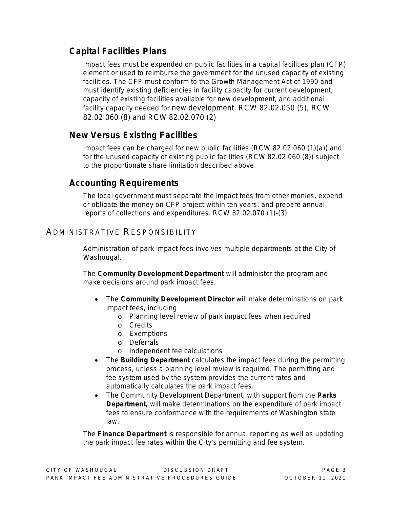## **Capital Facilities Plans**

Impact fees must be expended on public facilities in a capital facilities plan (CFP) element or used to reimburse the government for the unused capacity of existing facilities. The CFP must conform to the Growth Management Act of 1990 and must identify existing deficiencies in facility capacity for current development, capacity of existing facilities available for new development, and additional facility capacity needed for new development. *RCW 82.02.050 (5), RCW 82.02.060 (8) and RCW 82.02.070 (2)*

# **New Versus Existing Facilities**

Impact fees can be charged for new public facilities *(RCW 82.02.060 (1)(a))* and for the unused capacity of existing public facilities *(RCW 82.02.060 (8))* subject to the proportionate share limitation described above.

# **Accounting Requirements**

The local government must separate the impact fees from other monies, expend or obligate the money on CFP project within ten years, and prepare annual reports of collections and expenditures. *RCW 82.02.070 (1)-(3)*

## <span id="page-6-0"></span>ADMINISTRATIVE RESPONSIBILITY

Administration of park impact fees involves multiple departments at the City of Washougal.

The **Community Development Department** will administer the program and make decisions around park impact fees.

- The **Community Development Director** will make determinations on park impact fees, including
	- o Planning level review of park impact fees when required
	- o Credits
	- o Exemptions
	- o Deferrals
	- o Independent fee calculations
- The **Building Department** calculates the impact fees during the permitting process, unless a planning level review is required. The permitting and fee system used by the system provides the current rates and automatically calculates the park impact fees.
- The Community Development Department, with support from the **Parks Department,** will make determinations on the expenditure of park impact fees to ensure conformance with the requirements of Washington state law.

The **Finance Department** is responsible for annual reporting as well as updating the park impact fee rates within the City's permitting and fee system.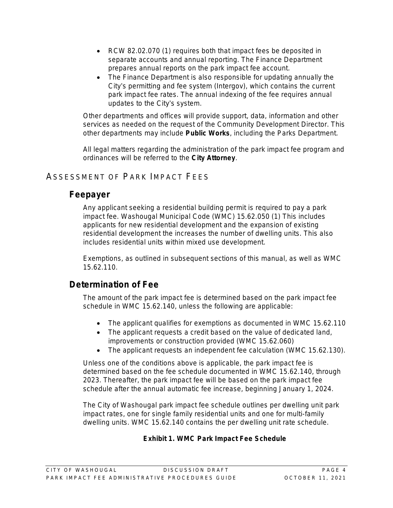- *RCW 82.02.070 (1)* requires both that impact fees be deposited in separate accounts and annual reporting. The Finance Department prepares annual reports on the park impact fee account.
- The Finance Department is also responsible for updating annually the City's permitting and fee system (Intergov), which contains the current park impact fee rates. The annual indexing of the fee requires annual updates to the City's system.

Other departments and offices will provide support, data, information and other services as needed on the request of the Community Development Director. This other departments may include **Public Works**, including the Parks Department.

All legal matters regarding the administration of the park impact fee program and ordinances will be referred to the **City Attorney**.

## <span id="page-7-0"></span>ASSESSMENT OF PARK IMPACT FEES

## **Feepayer**

Any applicant seeking a residential building permit is required to pay a park impact fee. *Washougal Municipal Code (WMC) 15.62.050 (1)* This includes applicants for new residential development and the expansion of existing residential development the increases the number of dwelling units. This also includes residential units within mixed use development.

Exemptions, as outlined in subsequent sections of this manual, as well as *WMC 15.62.110.*

# **Determination of Fee**

The amount of the park impact fee is determined based on the park impact fee schedule in *WMC 15.62.140*, unless the following are applicable:

- The applicant qualifies for exemptions as documented in *WMC 15.62.110*
- The applicant requests a credit based on the value of dedicated land, improvements or construction provided (*WMC 15.62.060*)
- The applicant requests an independent fee calculation (*WMC 15.62.130*).

Unless one of the conditions above is applicable, the park impact fee is determined based on the fee schedule documented in *WMC 15.62.140,* through 2023. Thereafter, the park impact fee will be based on the park impact fee schedule after the annual automatic fee increase, beginning January 1, 2024.

The City of Washougal park impact fee schedule outlines per dwelling unit park impact rates, one for single family residential units and one for multi-family dwelling units. *WMC 15.62.140* contains the per dwelling unit rate schedule.

#### **Exhibit 1. WMC Park Impact Fee Schedule**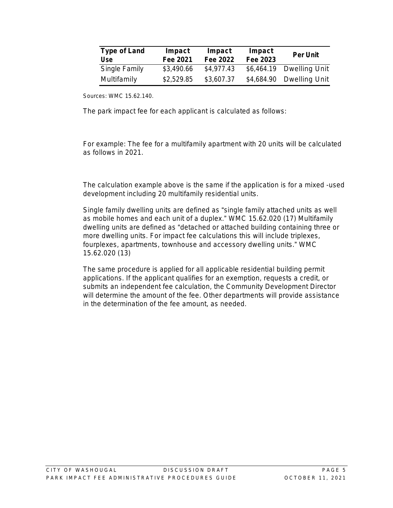| <b>Type of Land</b><br>Use | Impact<br>Fee 2021 | Impact<br>Fee 2022 | Impact<br>Fee 2023 | <b>Per Unit</b>          |
|----------------------------|--------------------|--------------------|--------------------|--------------------------|
| Single Family              | \$3,490.66         | \$4,977.43         |                    | \$6,464.19 Dwelling Unit |
| Multifamily                | \$2,529.85         | \$3,607.37         |                    | \$4,684.90 Dwelling Unit |

*Sources: WMC 15.62.140.*

The park impact fee for each applicant is calculated as follows:

For example: The fee for a multifamily apartment with 20 units will be calculated as follows in 2021.

The calculation example above is the same if the application is for a mixed -used development including 20 multifamily residential units.

Single family dwelling units are defined as "single family attached units as well as mobile homes and each unit of a duplex." *WMC 15.62.020 (17)* Multifamily dwelling units are defined as "detached or attached building containing three or more dwelling units. For impact fee calculations this will include triplexes, fourplexes, apartments, townhouse and accessory dwelling units." *WMC 15.62.020 (13)*

The same procedure is applied for all applicable residential building permit applications. If the applicant qualifies for an exemption, requests a credit, or submits an independent fee calculation, the Community Development Director will determine the amount of the fee. Other departments will provide assistance in the determination of the fee amount, as needed.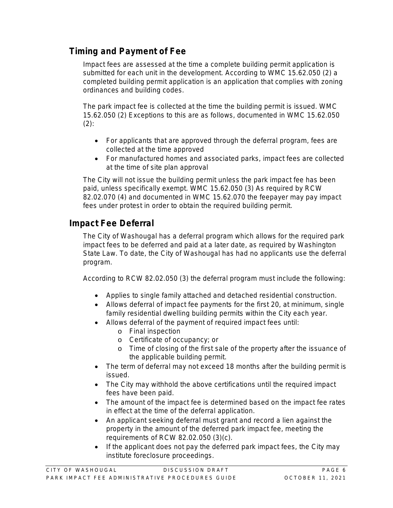# **Timing and Payment of Fee**

Impact fees are assessed at the time a complete building permit application is submitted for each unit in the development. According to *WMC 15.62.050 (2)* a completed building permit application is an application that complies with zoning ordinances and building codes.

The park impact fee is collected at the time the building permit is issued. *WMC 15.62.050 (2)* Exceptions to this are as follows, documented in *WMC 15.62.050 (2)*:

- For applicants that are approved through the deferral program, fees are collected at the time approved
- For manufactured homes and associated parks, impact fees are collected at the time of site plan approval

The City will not issue the building permit unless the park impact fee has been paid, unless specifically exempt. *WMC 15.62.050 (3)* As required by *RCW 82.02.070 (4)* and documented in *WMC 15.62.070* the feepayer may pay impact fees under protest in order to obtain the required building permit.

# **Impact Fee Deferral**

The City of Washougal has a deferral program which allows for the required park impact fees to be deferred and paid at a later date, as required by Washington State Law. To date, the City of Washougal has had no applicants use the deferral program.

According to *RCW 82.02.050 (3)* the deferral program must include the following:

- Applies to single family attached and detached residential construction.
- Allows deferral of impact fee payments for the first 20, at minimum, single family residential dwelling building permits within the City each year.
- Allows deferral of the payment of required impact fees until:
	- o Final inspection
	- o Certificate of occupancy; or
	- o Time of closing of the first sale of the property after the issuance of the applicable building permit.
- The term of deferral may not exceed 18 months after the building permit is issued.
- The City may withhold the above certifications until the required impact fees have been paid.
- The amount of the impact fee is determined based on the impact fee rates in effect at the time of the deferral application.
- An applicant seeking deferral must grant and record a lien against the property in the amount of the deferred park impact fee, meeting the requirements of *RCW 82.02.050 (3)(c).*
- If the applicant does not pay the deferred park impact fees, the City may institute foreclosure proceedings.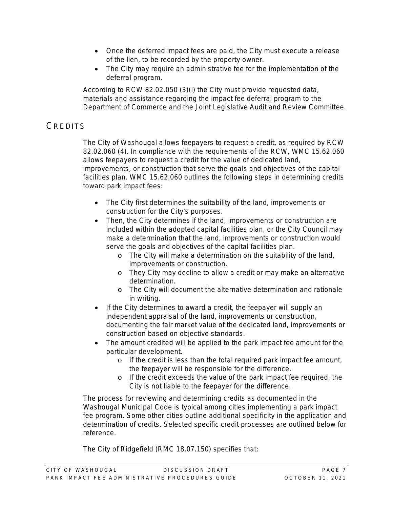- Once the deferred impact fees are paid, the City must execute a release of the lien, to be recorded by the property owner.
- The City may require an administrative fee for the implementation of the deferral program.

According to *RCW 82.02.050 (3)(i)* the City must provide requested data, materials and assistance regarding the impact fee deferral program to the Department of Commerce and the Joint Legislative Audit and Review Committee.

### <span id="page-10-0"></span>**CREDITS**

The City of Washougal allows feepayers to request a credit, as required by *RCW 82.02.060 (4).* In compliance with the requirements of the RCW, *WMC 15.62.060* allows feepayers to request a credit for the value of dedicated land, improvements, or construction that serve the goals and objectives of the capital facilities plan. *WMC 15.62.060* outlines the following steps in determining credits toward park impact fees:

- The City first determines the suitability of the land, improvements or construction for the City's purposes.
- Then, the City determines if the land, improvements or construction are included within the adopted capital facilities plan, or the City Council may make a determination that the land, improvements or construction would serve the goals and objectives of the capital facilities plan.
	- o The City will make a determination on the suitability of the land, improvements or construction.
	- o They City may decline to allow a credit or may make an alternative determination.
	- o The City will document the alternative determination and rationale in writing.
- If the City determines to award a credit, the feepayer will supply an independent appraisal of the land, improvements or construction, documenting the fair market value of the dedicated land, improvements or construction based on objective standards.
- The amount credited will be applied to the park impact fee amount for the particular development.
	- o If the credit is less than the total required park impact fee amount, the feepayer will be responsible for the difference.
	- o If the credit exceeds the value of the park impact fee required, the City is not liable to the feepayer for the difference.

The process for reviewing and determining credits as documented in the Washougal Municipal Code is typical among cities implementing a park impact fee program. Some other cities outline additional specificity in the application and determination of credits. Selected specific credit processes are outlined below for reference.

The City of Ridgefield (*RMC 18.07.150*) specifies that: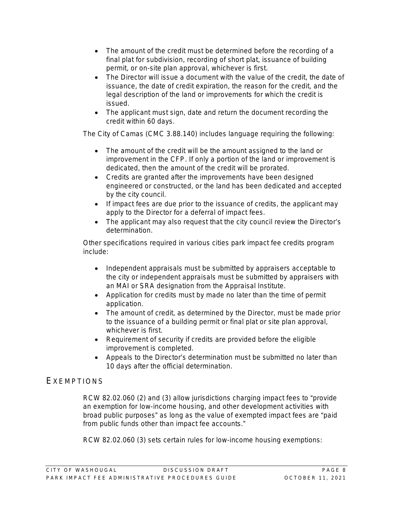- The amount of the credit must be determined before the recording of a final plat for subdivision, recording of short plat, issuance of building permit, or on-site plan approval, whichever is first.
- The Director will issue a document with the value of the credit, the date of issuance, the date of credit expiration, the reason for the credit, and the legal description of the land or improvements for which the credit is issued.
- The applicant must sign, date and return the document recording the credit within 60 days.

The City of Camas (*CMC 3.88.140*) includes language requiring the following:

- The amount of the credit will be the amount assigned to the land or improvement in the CFP. If only a portion of the land or improvement is dedicated, then the amount of the credit will be prorated.
- Credits are granted after the improvements have been designed engineered or constructed, or the land has been dedicated and accepted by the city council.
- If impact fees are due prior to the issuance of credits, the applicant may apply to the Director for a deferral of impact fees.
- The applicant may also request that the city council review the Director's determination.

Other specifications required in various cities park impact fee credits program include:

- Independent appraisals must be submitted by appraisers acceptable to the city or independent appraisals must be submitted by appraisers with an MAI or SRA designation from the Appraisal Institute.
- Application for credits must by made no later than the time of permit application.
- The amount of credit, as determined by the Director, must be made prior to the issuance of a building permit or final plat or site plan approval, whichever is first.
- Requirement of security if credits are provided before the eligible improvement is completed.
- Appeals to the Director's determination must be submitted no later than 10 days after the official determination.

# <span id="page-11-0"></span>EXEMPTIONS

*RCW 82.02.060 (2)* and *(3)* allow jurisdictions charging impact fees to "provide an exemption for low-income housing, and other development activities with broad public purposes" as long as the value of exempted impact fees are "paid from public funds other than impact fee accounts."

*RCW 82.02.060 (3)* sets certain rules for low-income housing exemptions: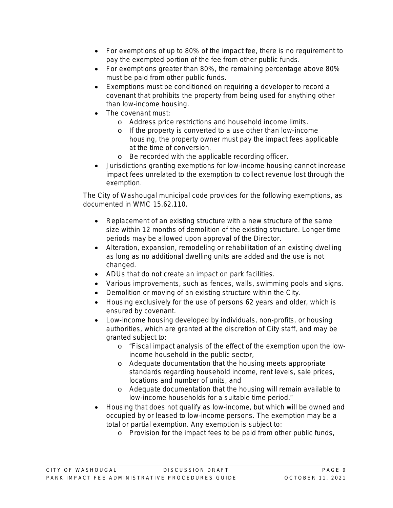- For exemptions of up to 80% of the impact fee, there is no requirement to pay the exempted portion of the fee from other public funds.
- For exemptions greater than 80%, the remaining percentage above 80% must be paid from other public funds.
- Exemptions must be conditioned on requiring a developer to record a covenant that prohibits the property from being used for anything other than low-income housing.
- The covenant must:
	- o Address price restrictions and household income limits.
	- o If the property is converted to a use other than low-income housing, the property owner must pay the impact fees applicable at the time of conversion.
	- o Be recorded with the applicable recording officer.
- Jurisdictions granting exemptions for low-income housing cannot increase impact fees unrelated to the exemption to collect revenue lost through the exemption.

The City of Washougal municipal code provides for the following exemptions, as documented in *WMC 15.62.110*.

- Replacement of an existing structure with a new structure of the same size within 12 months of demolition of the existing structure. Longer time periods may be allowed upon approval of the Director.
- Alteration, expansion, remodeling or rehabilitation of an existing dwelling as long as no additional dwelling units are added and the use is not changed.
- ADUs that do not create an impact on park facilities.
- Various improvements, such as fences, walls, swimming pools and signs.
- Demolition or moving of an existing structure within the City.
- Housing exclusively for the use of persons 62 years and older, which is ensured by covenant.
- Low-income housing developed by individuals, non-profits, or housing authorities, which are granted at the discretion of City staff, and may be granted subject to:
	- o "Fiscal impact analysis of the effect of the exemption upon the lowincome household in the public sector,
	- o Adequate documentation that the housing meets appropriate standards regarding household income, rent levels, sale prices, locations and number of units, and
	- o Adequate documentation that the housing will remain available to low-income households for a suitable time period."
- Housing that does not qualify as low-income, but which will be owned and occupied by or leased to low-income persons. The exemption may be a total or partial exemption. Any exemption is subject to:
	- o Provision for the impact fees to be paid from other public funds,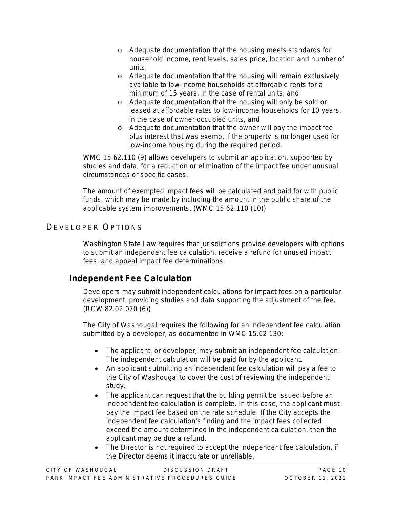- o Adequate documentation that the housing meets standards for household income, rent levels, sales price, location and number of units,
- o Adequate documentation that the housing will remain exclusively available to low-income households at affordable rents for a minimum of 15 years, in the case of rental units, and
- o Adequate documentation that the housing will only be sold or leased at affordable rates to low-income households for 10 years, in the case of owner occupied units, and
- o Adequate documentation that the owner will pay the impact fee plus interest that was exempt if the property is no longer used for low-income housing during the required period.

*WMC 15.62.110 (9)* allows developers to submit an application, supported by studies and data, for a reduction or elimination of the impact fee under unusual circumstances or specific cases.

The amount of exempted impact fees will be calculated and paid for with public funds, which may be made by including the amount in the public share of the applicable system improvements. (*WMC 15.62.110 (10))*

# <span id="page-13-0"></span>DEVELOPER OPTIONS

Washington State Law requires that jurisdictions provide developers with options to submit an independent fee calculation, receive a refund for unused impact fees, and appeal impact fee determinations.

# **Independent Fee Calculation**

Developers may submit independent calculations for impact fees on a particular development, providing studies and data supporting the adjustment of the fee. (*RCW 82.02.070 (6))*

The City of Washougal requires the following for an independent fee calculation submitted by a developer, as documented in *WMC 15.62.130*:

- The applicant, or developer, may submit an independent fee calculation. The independent calculation will be paid for by the applicant.
- An applicant submitting an independent fee calculation will pay a fee to the City of Washougal to cover the cost of reviewing the independent study.
- The applicant can request that the building permit be issued before an independent fee calculation is complete. In this case, the applicant must pay the impact fee based on the rate schedule. If the City accepts the independent fee calculation's finding and the impact fees collected exceed the amount determined in the independent calculation, then the applicant may be due a refund.
- The Director is not required to accept the independent fee calculation, if the Director deems it inaccurate or unreliable.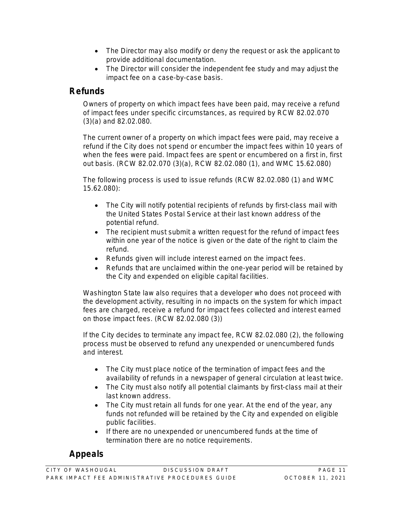- The Director may also modify or deny the request or ask the applicant to provide additional documentation.
- The Director will consider the independent fee study and may adjust the impact fee on a case-by-case basis.

## **Refunds**

Owners of property on which impact fees have been paid, may receive a refund of impact fees under specific circumstances, as required by *RCW 82.02.070 (3)(a)* and *82.02.080*.

The current owner of a property on which impact fees were paid, may receive a refund if the City does not spend or encumber the impact fees within 10 years of when the fees were paid. Impact fees are spent or encumbered on a first in, first out basis. (*RCW 82.02.070 (3)(a), RCW 82.02.080 (1), and WMC 15.62.080*)

The following process is used to issue refunds (*RCW 82.02.080 (1)* and *WMC 15.62.080*):

- The City will notify potential recipients of refunds by first-class mail with the United States Postal Service at their last known address of the potential refund.
- The recipient must submit a written request for the refund of impact fees within one year of the notice is given or the date of the right to claim the refund.
- Refunds given will include interest earned on the impact fees.
- Refunds that are unclaimed within the one-year period will be retained by the City and expended on eligible capital facilities.

Washington State law also requires that a developer who does not proceed with the development activity, resulting in no impacts on the system for which impact fees are charged, receive a refund for impact fees collected and interest earned on those impact fees. (*RCW 82.02.080 (3)*)

If the City decides to terminate any impact fee, *RCW 82.02.080 (2)*, the following process must be observed to refund any unexpended or unencumbered funds and interest.

- The City must place notice of the termination of impact fees and the availability of refunds in a newspaper of general circulation at least twice.
- The City must also notify all potential claimants by first-class mail at their last known address.
- The City must retain all funds for one year. At the end of the year, any funds not refunded will be retained by the City and expended on eligible public facilities.
- If there are no unexpended or unencumbered funds at the time of termination there are no notice requirements.

# **Appeals**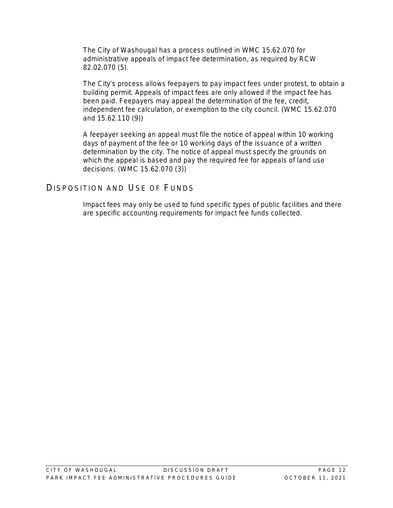The City of Washougal has a process outlined in *WMC 15.62.070* for administrative appeals of impact fee determination, as required by *RCW 82.02.070 (5)*.

The City's process allows feepayers to pay impact fees under protest, to obtain a building permit. Appeals of impact fees are only allowed if the impact fee has been paid. Feepayers may appeal the determination of the fee, credit, independent fee calculation, or exemption to the city council. (*WMC 15.62.070* and *15.62.110 (9))*

A feepayer seeking an appeal must file the notice of appeal within 10 working days of payment of the fee or 10 working days of the issuance of a written determination by the city. The notice of appeal must specify the grounds on which the appeal is based and pay the required fee for appeals of land use decisions. *(WMC 15.62.070 (3))*

#### <span id="page-15-0"></span>DISPOSITION AND USE OF FUNDS

Impact fees may only be used to fund specific types of public facilities and there are specific accounting requirements for impact fee funds collected.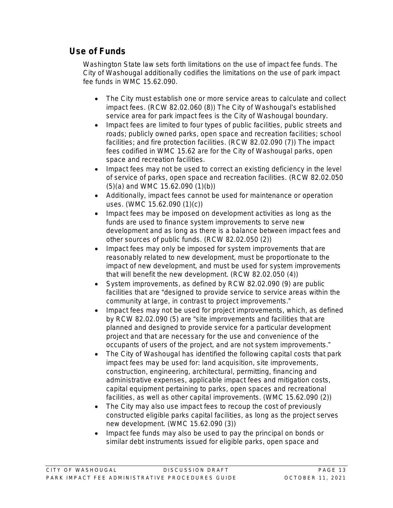# **Use of Funds**

Washington State law sets forth limitations on the use of impact fee funds. The City of Washougal additionally codifies the limitations on the use of park impact fee funds in *WMC 15.62.090*.

- The City must establish one or more service areas to calculate and collect impact fees. (*RCW 82.02.060 (8)*) The City of Washougal's established service area for park impact fees is the City of Washougal boundary.
- Impact fees are limited to four types of public facilities, public streets and roads; publicly owned parks, open space and recreation facilities; school facilities; and fire protection facilities. (*RCW 82.02.090 (7)*) The impact fees codified in *WMC 15.62* are for the City of Washougal parks, open space and recreation facilities.
- Impact fees may not be used to correct an existing deficiency in the level of service of parks, open space and recreation facilities. (*RCW 82.02.050 (5)(a)* and *WMC 15.62.090 (1)(b)*)
- Additionally, impact fees cannot be used for maintenance or operation uses. (*WMC 15.62.090 (1)(c)*)
- Impact fees may be imposed on development activities as long as the funds are used to finance system improvements to serve new development and as long as there is a balance between impact fees and other sources of public funds. (*RCW 82.02.050 (2)*)
- Impact fees may only be imposed for system improvements that are reasonably related to new development, must be proportionate to the impact of new development, and must be used for system improvements that will benefit the new development. *(RCW 82.02.050 (4)*)
- System improvements, as defined by *RCW 82.02.090 (9)* are public facilities that are "designed to provide service to service areas within the community at large, in contrast to project improvements."
- Impact fees may not be used for project improvements, which, as defined by *RCW 82.02.090 (5)* are "site improvements and facilities that are planned and designed to provide service for a particular development project and that are necessary for the use and convenience of the occupants of users of the project, and are not system improvements."
- The City of Washougal has identified the following capital costs that park impact fees may be used for: land acquisition, site improvements, construction, engineering, architectural, permitting, financing and administrative expenses, applicable impact fees and mitigation costs, capital equipment pertaining to parks, open spaces and recreational facilities, as well as other capital improvements. (*WMC 15.62.090 (2)*)
- The City may also use impact fees to recoup the cost of previously constructed eligible parks capital facilities, as long as the project serves new development. (*WMC 15.62.090 (3)*)
- Impact fee funds may also be used to pay the principal on bonds or similar debt instruments issued for eligible parks, open space and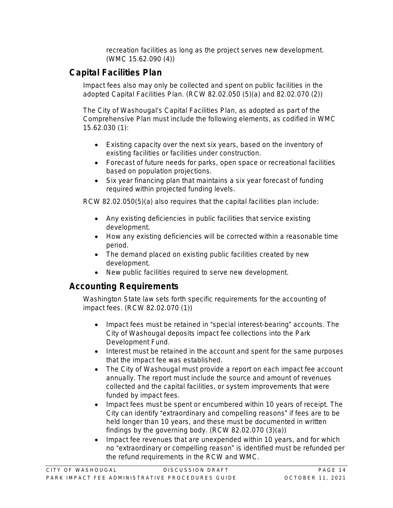recreation facilities as long as the project serves new development. (*WMC 15.62.090 (4)*)

## **Capital Facilities Plan**

Impact fees also may only be collected and spent on public facilities in the adopted Capital Facilities Plan. (*RCW 82.02.050 (5)(a)* and *82.02.070 (2)*)

The City of Washougal's Capital Facilities Plan, as adopted as part of the Comprehensive Plan must include the following elements, as codified in *WMC 15.62.030 (1)*:

- Existing capacity over the next six years, based on the inventory of existing facilities or facilities under construction.
- Forecast of future needs for parks, open space or recreational facilities based on population projections.
- Six year financing plan that maintains a six year forecast of funding required within projected funding levels.

*RCW 82.02.050(5)(a)* also requires that the capital facilities plan include:

- Any existing deficiencies in public facilities that service existing development.
- How any existing deficiencies will be corrected within a reasonable time period.
- The demand placed on existing public facilities created by new development.
- New public facilities required to serve new development.

## **Accounting Requirements**

Washington State law sets forth specific requirements for the accounting of impact fees. (*RCW 82.02.070 (1)*)

- Impact fees must be retained in "special interest-bearing" accounts. The City of Washougal deposits impact fee collections into the Park Development Fund.
- Interest must be retained in the account and spent for the same purposes that the impact fee was established.
- The City of Washougal must provide a report on each impact fee account annually. The report must include the source and amount of revenues collected and the capital facilities, or system improvements that were funded by impact fees.
- Impact fees must be spent or encumbered within 10 years of receipt. The City can identify "extraordinary and compelling reasons" if fees are to be held longer than 10 years, and these must be documented in written findings by the governing body. (*RCW 82.02.070 (3)(a)*)
- Impact fee revenues that are unexpended within 10 years, and for which no "extraordinary or compelling reason" is identified must be refunded per the refund requirements in the RCW and WMC.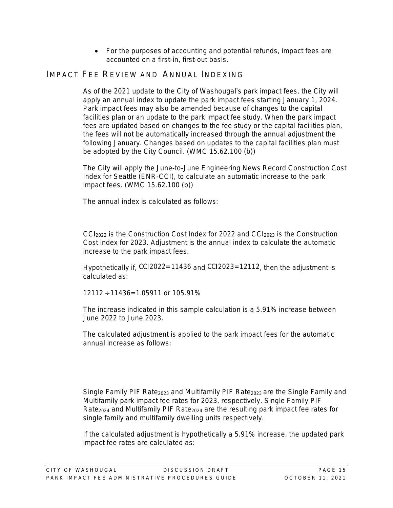For the purposes of accounting and potential refunds, impact fees are accounted on a first-in, first-out basis.

#### <span id="page-18-0"></span>IMPACT FEE REVIEW AND ANNUAL INDEXING

As of the 2021 update to the City of Washougal's park impact fees, the City will apply an annual index to update the park impact fees starting January 1, 2024. Park impact fees may also be amended because of changes to the capital facilities plan or an update to the park impact fee study. When the park impact fees are updated based on changes to the fee study or the capital facilities plan, the fees will not be automatically increased through the annual adjustment the following January. Changes based on updates to the capital facilities plan must be adopted by the City Council. (*WMC 15.62.100 (b)*)

The City will apply the June-to-June Engineering News Record Construction Cost Index for Seattle (ENR-CCI), to calculate an automatic increase to the park impact fees. (*WMC 15.62.100 (b)*)

The annual index is calculated as follows:

 $CCI<sub>2022</sub>$  is the Construction Cost Index for 2022 and  $CCI<sub>2023</sub>$  is the Construction Cost index for 2023. Adjustment is the annual index to calculate the automatic increase to the park impact fees.

Hypothetically if, CCI2022=11436 and CCI2023=12112, then the adjustment is calculated as:

 $12112 \div 11436 = 1.05911$  or 105.91%

The increase indicated in this sample calculation is a 5.91% increase between June 2022 to June 2023.

The calculated adjustment is applied to the park impact fees for the automatic annual increase as follows:

Single Family PIF Rate<sub>2023</sub> and Multifamily PIF Rate<sub>2023</sub> are the Single Family and Multifamily park impact fee rates for 2023, respectively. Single Family PIF Rate<sub>2024</sub> and Multifamily PIF Rate<sub>2024</sub> are the resulting park impact fee rates for single family and multifamily dwelling units respectively.

If the calculated adjustment is hypothetically a 5.91% increase, the updated park impact fee rates are calculated as: